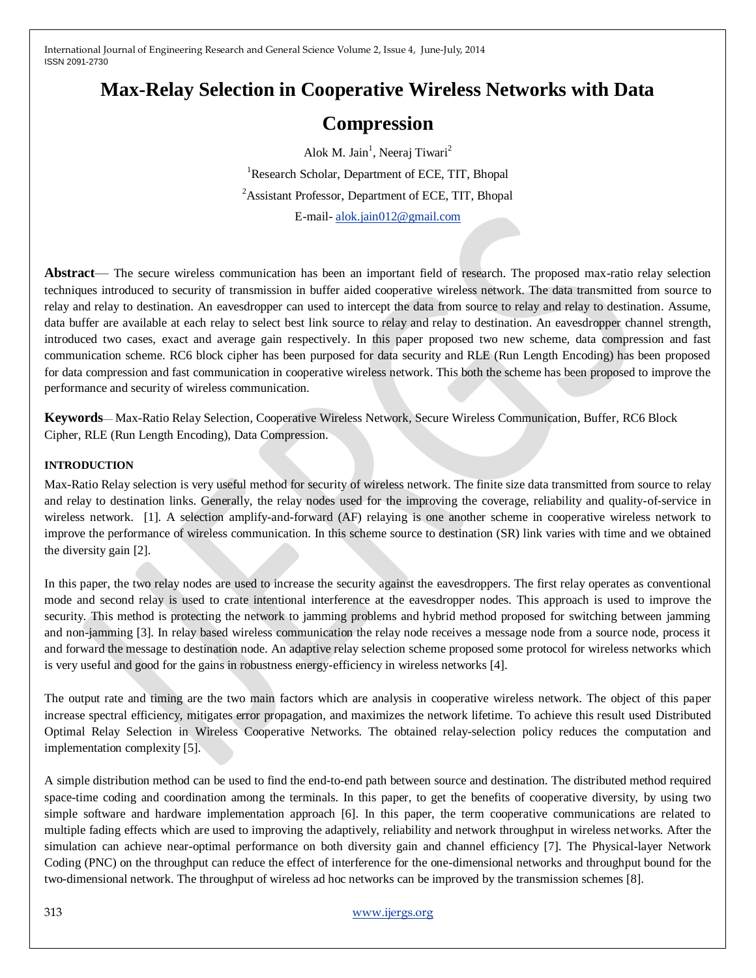# **Max-Relay Selection in Cooperative Wireless Networks with Data**

## **Compression**

Alok M. Jain<sup>1</sup>, Neeraj Tiwari<sup>2</sup> <sup>1</sup>Research Scholar, Department of ECE, TIT, Bhopal <sup>2</sup>Assistant Professor, Department of ECE, TIT, Bhopal

E-mail- [alok.jain012@gmail.com](mailto:alok.jain012@gmail.com)

**Abstract**— The secure wireless communication has been an important field of research. The proposed max-ratio relay selection techniques introduced to security of transmission in buffer aided cooperative wireless network. The data transmitted from source to relay and relay to destination. An eavesdropper can used to intercept the data from source to relay and relay to destination. Assume, data buffer are available at each relay to select best link source to relay and relay to destination. An eavesdropper channel strength, introduced two cases, exact and average gain respectively. In this paper proposed two new scheme, data compression and fast communication scheme. RC6 block cipher has been purposed for data security and RLE (Run Length Encoding) has been proposed for data compression and fast communication in cooperative wireless network. This both the scheme has been proposed to improve the performance and security of wireless communication.

**Keywords**— Max-Ratio Relay Selection, Cooperative Wireless Network, Secure Wireless Communication, Buffer, RC6 Block Cipher, RLE (Run Length Encoding), Data Compression.

#### **INTRODUCTION**

Max-Ratio Relay selection is very useful method for security of wireless network. The finite size data transmitted from source to relay and relay to destination links. Generally, the relay nodes used for the improving the coverage, reliability and quality-of-service in wireless network. [1]. A selection amplify-and-forward (AF) relaying is one another scheme in cooperative wireless network to improve the performance of wireless communication. In this scheme source to destination (SR) link varies with time and we obtained the diversity gain [2].

In this paper, the two relay nodes are used to increase the security against the eavesdroppers. The first relay operates as conventional mode and second relay is used to crate intentional interference at the eavesdropper nodes. This approach is used to improve the security. This method is protecting the network to jamming problems and hybrid method proposed for switching between jamming and non-jamming [3]. In relay based wireless communication the relay node receives a message node from a source node, process it and forward the message to destination node. An adaptive relay selection scheme proposed some protocol for wireless networks which is very useful and good for the gains in robustness energy-efficiency in wireless networks [4].

The output rate and timing are the two main factors which are analysis in cooperative wireless network. The object of this paper increase spectral efficiency, mitigates error propagation, and maximizes the network lifetime. To achieve this result used Distributed Optimal Relay Selection in Wireless Cooperative Networks. The obtained relay-selection policy reduces the computation and implementation complexity [5].

A simple distribution method can be used to find the end-to-end path between source and destination. The distributed method required space-time coding and coordination among the terminals. In this paper, to get the benefits of cooperative diversity, by using two simple software and hardware implementation approach [6]. In this paper, the term cooperative communications are related to multiple fading effects which are used to improving the adaptively, reliability and network throughput in wireless networks. After the simulation can achieve near-optimal performance on both diversity gain and channel efficiency [7]. The Physical-layer Network Coding (PNC) on the throughput can reduce the effect of interference for the one-dimensional networks and throughput bound for the two-dimensional network. The throughput of wireless ad hoc networks can be improved by the transmission schemes [8].

### 313 [www.ijergs.org](http://www.ijergs.org/)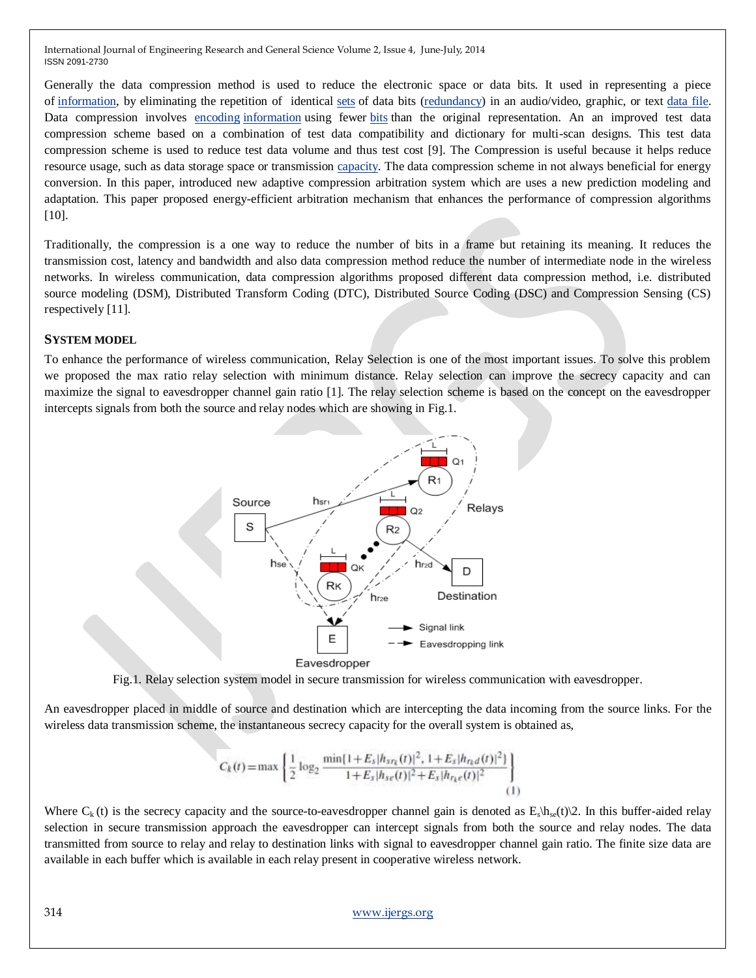Generally the data compression method is used to reduce the electronic space or data bits. It used in representing a piece of [information,](http://www.businessdictionary.com/definition/information.html) by eliminating the repetition of identical [sets](http://www.businessdictionary.com/definition/set.html) of data bits [\(redundancy\)](http://www.businessdictionary.com/definition/redundancy.html) in an audio/video, graphic, or text [data file.](http://www.businessdictionary.com/definition/data-file.html) Data compression involves [encoding](http://en.wikipedia.org/wiki/Encoding) [information](http://en.wikipedia.org/wiki/Information) using fewer [bits](http://en.wikipedia.org/wiki/Bit) than the original representation. An an improved test data compression scheme based on a combination of test data compatibility and dictionary for multi-scan designs. This test data compression scheme is used to reduce test data volume and thus test cost [9]. The Compression is useful because it helps reduce resource usage, such as data storage space or transmission [capacity.](http://en.wikipedia.org/wiki/Bandwidth_(computing)) The data compression scheme in not always beneficial for energy conversion. In this paper, introduced new adaptive compression arbitration system which are uses a new prediction modeling and adaptation. This paper proposed energy-efficient arbitration mechanism that enhances the performance of compression algorithms [10].

Traditionally, the compression is a one way to reduce the number of bits in a frame but retaining its meaning. It reduces the transmission cost, latency and bandwidth and also data compression method reduce the number of intermediate node in the wireless networks. In wireless communication, data compression algorithms proposed different data compression method, i.e. distributed source modeling (DSM), Distributed Transform Coding (DTC), Distributed Source Coding (DSC) and Compression Sensing (CS) respectively [11].

#### **SYSTEM MODEL**

To enhance the performance of wireless communication, Relay Selection is one of the most important issues. To solve this problem we proposed the max ratio relay selection with minimum distance. Relay selection can improve the secrecy capacity and can maximize the signal to eavesdropper channel gain ratio [1]. The relay selection scheme is based on the concept on the eavesdropper intercepts signals from both the source and relay nodes which are showing in Fig.1.



Fig.1. Relay selection system model in secure transmission for wireless communication with eavesdropper.

An eavesdropper placed in middle of source and destination which are intercepting the data incoming from the source links. For the wireless data transmission scheme, the instantaneous secrecy capacity for the overall system is obtained as,

$$
C_k(t) = \max\left\{\frac{1}{2}\log_2\frac{\min\{1+E_s|h_{st_k}(t)|^2, 1+E_s|h_{rt_d}(t)|^2\}}{1+E_s|h_{s_{\ell}}(t)|^2+E_s|h_{r_k\ell}(t)|^2}\right\}
$$
(1)

Where  $C_k(t)$  is the secrecy capacity and the source-to-eavesdropper channel gain is denoted as  $E_s \hbar_{se}(t)$  2. In this buffer-aided relay selection in secure transmission approach the eavesdropper can intercept signals from both the source and relay nodes. The data transmitted from source to relay and relay to destination links with signal to eavesdropper channel gain ratio. The finite size data are available in each buffer which is available in each relay present in cooperative wireless network.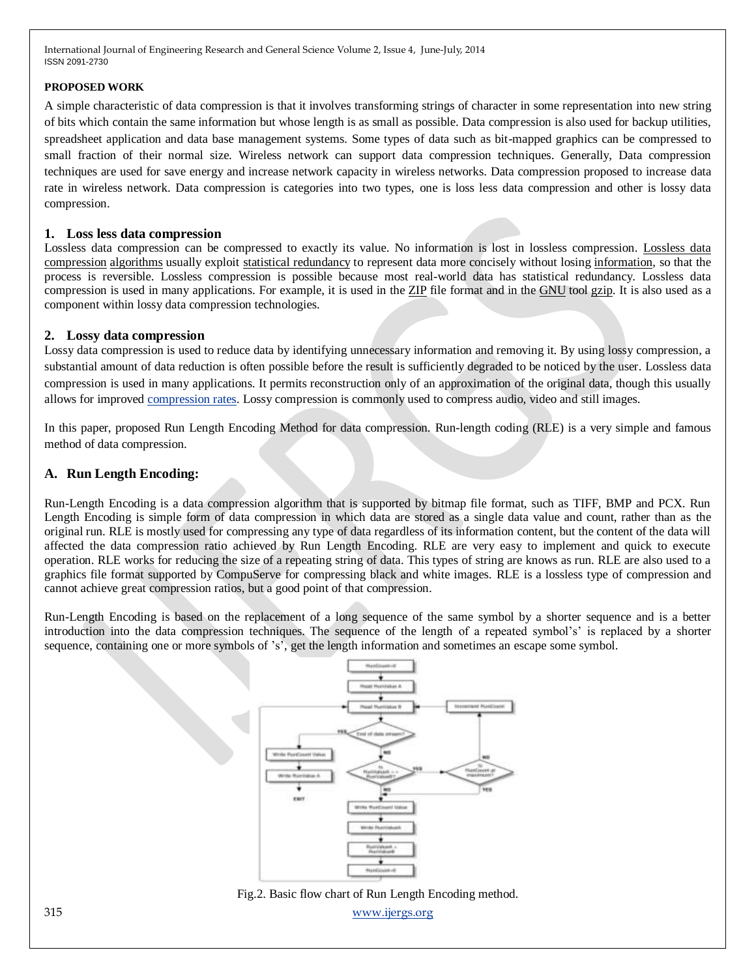#### **PROPOSED WORK**

A simple characteristic of data compression is that it involves transforming strings of character in some representation into new string of bits which contain the same information but whose length is as small as possible. Data compression is also used for backup utilities, spreadsheet application and data base management systems. Some types of data such as bit-mapped graphics can be compressed to small fraction of their normal size. Wireless network can support data compression techniques. Generally, Data compression techniques are used for save energy and increase network capacity in wireless networks. Data compression proposed to increase data rate in wireless network. Data compression is categories into two types, one is loss less data compression and other is lossy data compression.

#### **1. Loss less data compression**

Lossless data compression can be compressed to exactly its value. No information is lost in lossless compression. [Lossless data](http://en.wikipedia.org/wiki/Lossless_data_compression)  [compression](http://en.wikipedia.org/wiki/Lossless_data_compression) [algorithms](http://en.wikipedia.org/wiki/Algorithm) usually exploit [statistical redundancy](http://en.wikipedia.org/wiki/Redundancy_(information_theory)) to represent data more concisely without losing [information,](http://en.wikipedia.org/wiki/Self-information) so that the process is reversible. Lossless compression is possible because most real-world data has statistical redundancy. Lossless data compression is used in many applications. For example, it is used in the [ZIP](http://en.wikipedia.org/wiki/ZIP_(file_format)) file format and in the [GNU](http://en.wikipedia.org/wiki/GNU) tool [gzip.](http://en.wikipedia.org/wiki/Gzip) It is also used as a component within lossy data compression technologies.

#### **2. Lossy data compression**

Lossy data compression is used to reduce data by identifying unnecessary information and removing it. By using lossy compression, a substantial amount of data reduction is often possible before the result is sufficiently degraded to be noticed by the user. Lossless data compression is used in many applications. It permits reconstruction only of an approximation of the original data, though this usually allows for improved [compression rates.](http://en.wikipedia.org/wiki/Bit_rate#Bitrates_in_multimedia) Lossy compression is commonly used to compress audio, video and still images.

In this paper, proposed Run Length Encoding Method for data compression. Run-length coding (RLE) is a very simple and famous method of data compression.

## **A. Run Length Encoding:**

Run-Length Encoding is a data compression algorithm that is supported by bitmap file format, such as TIFF, BMP and PCX. Run Length Encoding is simple form of data compression in which data are stored as a single data value and count, rather than as the original run. RLE is mostly used for compressing any type of data regardless of its information content, but the content of the data will affected the data compression ratio achieved by Run Length Encoding. RLE are very easy to implement and quick to execute operation. RLE works for reducing the size of a repeating string of data. This types of string are knows as run. RLE are also used to a graphics file format supported by CompuServe for compressing black and white images. RLE is a lossless type of compression and cannot achieve great compression ratios, but a good point of that compression.

Run-Length Encoding is based on the replacement of a long sequence of the same symbol by a shorter sequence and is a better introduction into the data compression techniques. The sequence of the length of a repeated symbol's' is replaced by a shorter sequence, containing one or more symbols of 's', get the length information and sometimes an escape some symbol.



Fig.2. Basic flow chart of Run Length Encoding method.

315 [www.ijergs.org](http://www.ijergs.org/)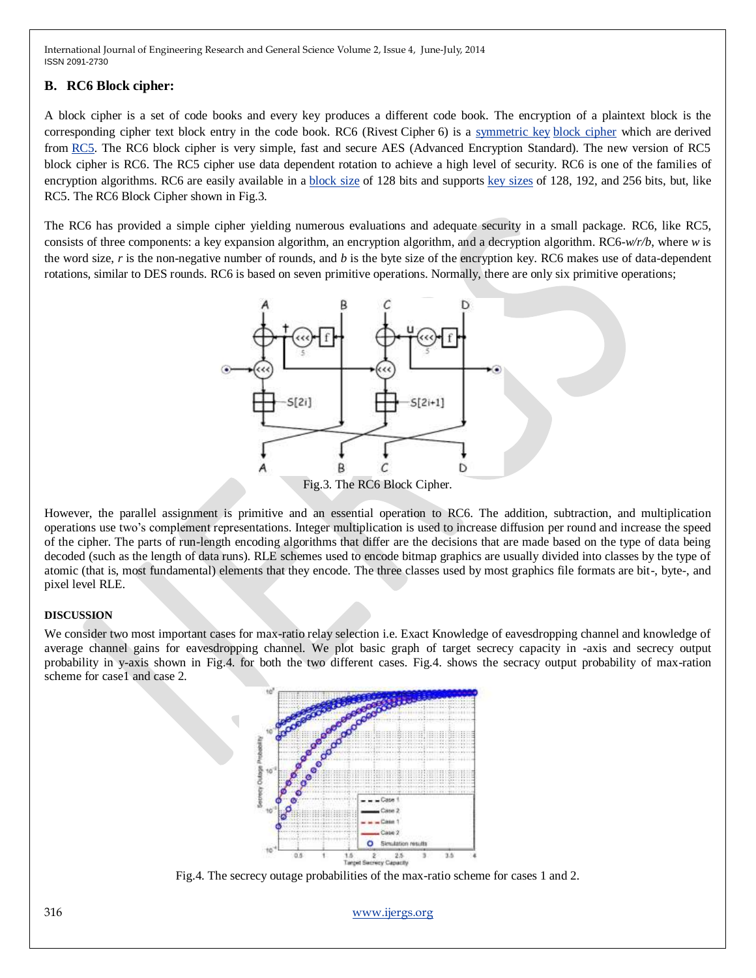## **B. RC6 Block cipher:**

A block cipher is a set of code books and every key produces a different code book. The encryption of a plaintext block is the corresponding cipher text block entry in the code book. RC6 (Rivest Cipher 6) is a [symmetric key](http://en.wikipedia.org/wiki/Symmetric_key) [block cipher](http://en.wikipedia.org/wiki/Block_cipher) which are derived from [RC5.](http://en.wikipedia.org/wiki/RC5) The RC6 block cipher is very simple, fast and secure AES (Advanced Encryption Standard). The new version of RC5 block cipher is RC6. The RC5 cipher use data dependent rotation to achieve a high level of security. RC6 is one of the families of encryption algorithms. RC6 are easily available in a [block size](http://en.wikipedia.org/wiki/Block_size_(cryptography)) of 128 bits and supports [key sizes](http://en.wikipedia.org/wiki/Key_size) of 128, 192, and 256 bits, but, like RC5. The RC6 Block Cipher shown in Fig.3.

The RC6 has provided a simple cipher yielding numerous evaluations and adequate security in a small package. RC6, like RC5, consists of three components: a key expansion algorithm, an encryption algorithm, and a decryption algorithm. RC6-*w/r/b*, where *w* is the word size, *r* is the non-negative number of rounds, and *b* is the byte size of the encryption key. RC6 makes use of data-dependent rotations, similar to DES rounds. RC6 is based on seven primitive operations. Normally, there are only six primitive operations;



However, the parallel assignment is primitive and an essential operation to RC6. The addition, subtraction, and multiplication operations use two's complement representations. Integer multiplication is used to increase diffusion per round and increase the speed of the cipher. The parts of run-length encoding algorithms that differ are the decisions that are made based on the type of data being decoded (such as the length of data runs). RLE schemes used to encode bitmap graphics are usually divided into classes by the type of atomic (that is, most fundamental) elements that they encode. The three classes used by most graphics file formats are bit-, byte-, and pixel level RLE.

#### **DISCUSSION**

We consider two most important cases for max-ratio relay selection i.e. Exact Knowledge of eavesdropping channel and knowledge of average channel gains for eavesdropping channel. We plot basic graph of target secrecy capacity in -axis and secrecy output probability in y-axis shown in Fig.4. for both the two different cases. Fig.4. shows the secracy output probability of max-ration scheme for case1 and case 2.



Fig.4. The secrecy outage probabilities of the max-ratio scheme for cases 1 and 2.

316 [www.ijergs.org](http://www.ijergs.org/)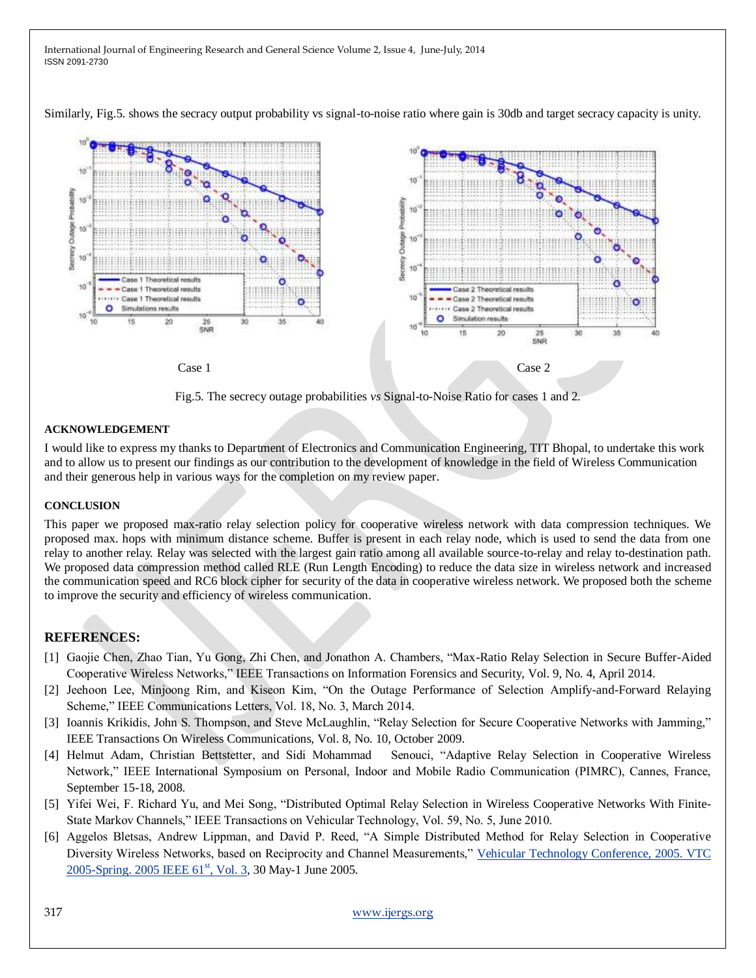Similarly, Fig.5. shows the secracy output probability vs signal-to-noise ratio where gain is 30db and target secracy capacity is unity.



Fig.5. The secrecy outage probabilities *vs* Signal-to-Noise Ratio for cases 1 and 2.

#### **ACKNOWLEDGEMENT**

I would like to express my thanks to Department of Electronics and Communication Engineering, TIT Bhopal, to undertake this work and to allow us to present our findings as our contribution to the development of knowledge in the field of Wireless Communication and their generous help in various ways for the completion on my review paper.

#### **CONCLUSION**

This paper we proposed max-ratio relay selection policy for cooperative wireless network with data compression techniques. We proposed max. hops with minimum distance scheme. Buffer is present in each relay node, which is used to send the data from one relay to another relay. Relay was selected with the largest gain ratio among all available source-to-relay and relay to-destination path. We proposed data compression method called RLE (Run Length Encoding) to reduce the data size in wireless network and increased the communication speed and RC6 block cipher for security of the data in cooperative wireless network. We proposed both the scheme to improve the security and efficiency of wireless communication.

#### **REFERENCES:**

- [1] Gaojie Chen, Zhao Tian, Yu Gong, Zhi Chen, and Jonathon A. Chambers, "Max-Ratio Relay Selection in Secure Buffer-Aided Cooperative Wireless Networks,‖ IEEE Transactions on Information Forensics and Security, Vol. 9, No. 4, April 2014.
- [2] Jeehoon Lee, Minjoong Rim, and Kiseon Kim, "On the Outage Performance of Selection Amplify-and-Forward Relaying Scheme," IEEE Communications Letters, Vol. 18, No. 3, March 2014.
- [3] Ioannis Krikidis, John S. Thompson, and Steve McLaughlin, "Relay Selection for Secure Cooperative Networks with Jamming," IEEE Transactions On Wireless Communications, Vol. 8, No. 10, October 2009.
- [4] Helmut Adam, Christian Bettstetter, and Sidi Mohammad Senouci, "Adaptive Relay Selection in Cooperative Wireless Network," IEEE International Symposium on Personal, Indoor and Mobile Radio Communication (PIMRC), Cannes, France, September 15-18, 2008.
- [5] Yifei Wei, F. Richard Yu, and Mei Song, "Distributed Optimal Relay Selection in Wireless Cooperative Networks With Finite-State Markov Channels," IEEE Transactions on Vehicular Technology, Vol. 59, No. 5, June 2010.
- [6] Aggelos Bletsas, Andrew Lippman, and David P. Reed, "A Simple Distributed Method for Relay Selection in Cooperative Diversity Wireless Networks, based on Reciprocity and Channel Measurements," Vehicular Technology Conference, 2005. VTC [2005-Spring. 2005 IEEE 61](http://ieeexplore.ieee.org/xpl/mostRecentIssue.jsp?punumber=10360)<sup>st</sup>, Vol. 3, 30 May-1 June 2005.